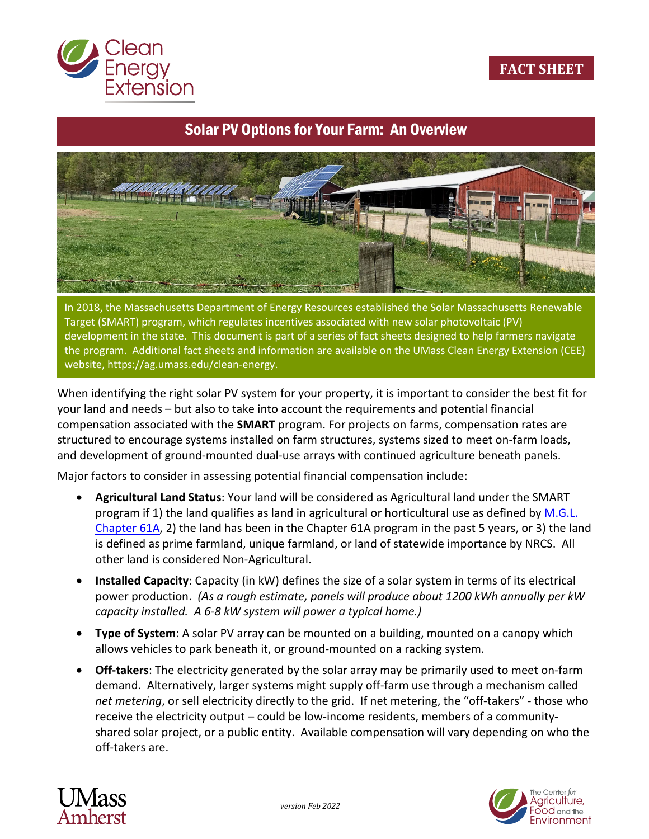

# Solar PV Options for Your Farm: An Overview



In 2018, the Massachusetts Department of Energy Resources established the Solar Massachusetts Renewable Target (SMART) program, which regulates incentives associated with new solar photovoltaic (PV) development in the state. This document is part of a series of fact sheets designed to help farmers navigate the program. Additional fact sheets and information are available on the UMass Clean Energy Extension (CEE) website, [https://ag.umass.edu/clean-energy.](https://ag.umass.edu/clean-energy)

When identifying the right solar PV system for your property, it is important to consider the best fit for your land and needs – but also to take into account the requirements and potential financial compensation associated with the **SMART** program. For projects on farms, compensation rates are structured to encourage systems installed on farm structures, systems sized to meet on-farm loads, and development of ground-mounted dual-use arrays with continued agriculture beneath panels.

Major factors to consider in assessing potential financial compensation include:

- **Agricultural Land Status**: Your land will be considered as Agricultural land under the SMART program if 1) the land qualifies as land in agricultural or horticultural use as defined by [M.G.L.](https://malegislature.gov/Laws/GeneralLaws/PartI/TitleIX/Chapter61A) [Chapter 61A,](https://malegislature.gov/Laws/GeneralLaws/PartI/TitleIX/Chapter61A) 2) the land has been in the Chapter 61A program in the past 5 years, or 3) the land is defined as prime farmland, unique farmland, or land of statewide importance by NRCS. All other land is considered Non-Agricultural.
- **Installed Capacity**: Capacity (in kW) defines the size of a solar system in terms of its electrical power production. *(As a rough estimate, panels will produce about 1200 kWh annually per kW capacity installed. A 6-8 kW system will power a typical home.)*
- **Type of System**: A solar PV array can be mounted on a building, mounted on a canopy which allows vehicles to park beneath it, or ground-mounted on a racking system.
- **Off-takers**: The electricity generated by the solar array may be primarily used to meet on-farm demand. Alternatively, larger systems might supply off-farm use through a mechanism called *net metering*, or sell electricity directly to the grid. If net metering, the "off-takers" - those who receive the electricity output – could be low-income residents, members of a communityshared solar project, or a public entity. Available compensation will vary depending on who the off-takers are.